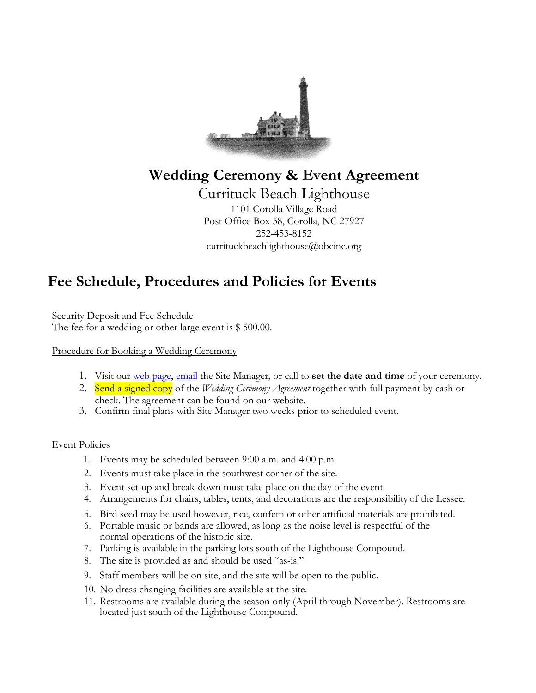

### **Wedding Ceremony & Event Agreement**

Currituck Beach Lighthouse 1101 Corolla Village Road Post Office Box 58, Corolla, NC 27927 252-453-8152 currituckbeachlighthouse@obcinc.org

## **Fee Schedule, Procedures and Policies for Events**

Security Deposit and Fee Schedule The fee for a wedding or other large event is \$500.00.

#### Procedure for Booking a Wedding Ceremony

- 1. Visit our web page, email the Site Manager, or call to **set the date and time** of your ceremony.
- 2. Send a signed copy of the *Wedding Ceremony Agreement* together with full payment by cash or check. The agreement can be found on our website.
- 3. Confirm final plans with Site Manager two weeks prior to scheduled event.

#### Event Policies

- 1. Events may be scheduled between 9:00 a.m. and 4:00 p.m.
- 2. Events must take place in the southwest corner of the site.
- 3. Event set-up and break-down must take place on the day of the event.
- 4. Arrangements for chairs, tables, tents, and decorations are the responsibility of the Lessee.
- 5. Bird seed may be used however, rice, confetti or other artificial materials are prohibited.
- 6. Portable music or bands are allowed, as long as the noise level is respectful of the normal operations of the historic site.
- 7. Parking is available in the parking lots south of the Lighthouse Compound.
- 8. The site is provided as and should be used "as-is."
- 9. Staff members will be on site, and the site will be open to the public.
- 10. No dress changing facilities are available at the site.
- 11. Restrooms are available during the season only (April through November). Restrooms are located just south of the Lighthouse Compound.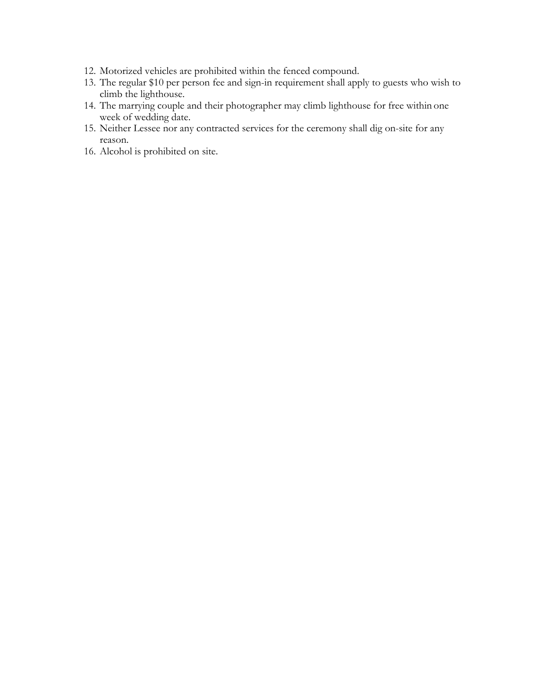- 12. Motorized vehicles are prohibited within the fenced compound.
- 13. The regular \$10 per person fee and sign-in requirement shall apply to guests who wish to climb the lighthouse.
- 14. The marrying couple and their photographer may climb lighthouse for free within one week of wedding date.
- 15. Neither Lessee nor any contracted services for the ceremony shall dig on-site for any reason.
- 16. Alcohol is prohibited on site.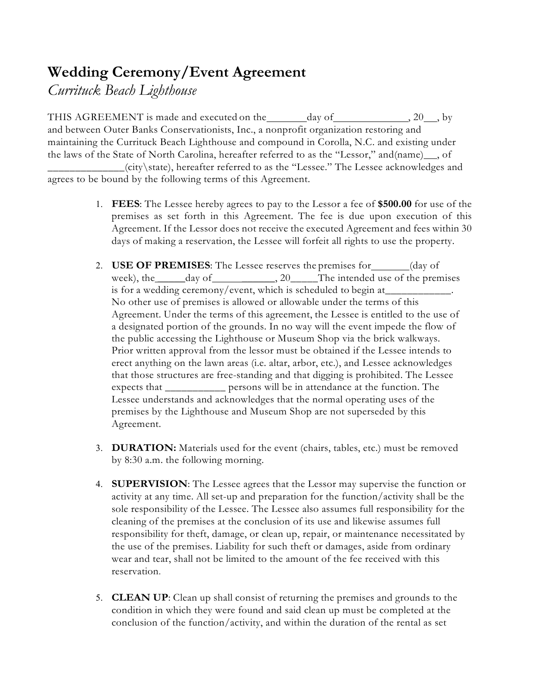# **Wedding Ceremony/Event Agreement**

*Currituck Beach Lighthouse*

THIS AGREEMENT is made and executed on the day of , 20 , by and between Outer Banks Conservationists, Inc., a nonprofit organization restoring and maintaining the Currituck Beach Lighthouse and compound in Corolla, N.C. and existing under the laws of the State of North Carolina, hereafter referred to as the "Lessor," and(name), of

\_\_\_\_\_\_\_\_\_\_\_\_\_\_(city\state), hereafter referred to as the "Lessee." The Lessee acknowledges and agrees to be bound by the following terms of this Agreement.

- 1. **FEES**: The Lessee hereby agrees to pay to the Lessor a fee of **\$500.00** for use of the premises as set forth in this Agreement. The fee is due upon execution of this Agreement. If the Lessor does not receive the executed Agreement and fees within 30 days of making a reservation, the Lessee will forfeit all rights to use the property.
- 2. **USE OF PREMISES:** The Lessee reserves the premises for (day of week), the day of  $\qquad \qquad 20$  The intended use of the premises is for a wedding ceremony/event, which is scheduled to begin at No other use of premises is allowed or allowable under the terms of this Agreement. Under the terms of this agreement, the Lessee is entitled to the use of a designated portion of the grounds. In no way will the event impede the flow of the public accessing the Lighthouse or Museum Shop via the brick walkways. Prior written approval from the lessor must be obtained if the Lessee intends to erect anything on the lawn areas (i.e. altar, arbor, etc.), and Lessee acknowledges that those structures are free-standing and that digging is prohibited. The Lessee expects that \_\_\_\_\_\_\_\_\_\_\_ persons will be in attendance at the function. The Lessee understands and acknowledges that the normal operating uses of the premises by the Lighthouse and Museum Shop are not superseded by this Agreement.
- 3. **DURATION:** Materials used for the event (chairs, tables, etc.) must be removed by 8:30 a.m. the following morning.
- 4. **SUPERVISION**: The Lessee agrees that the Lessor may supervise the function or activity at any time. All set-up and preparation for the function/activity shall be the sole responsibility of the Lessee. The Lessee also assumes full responsibility for the cleaning of the premises at the conclusion of its use and likewise assumes full responsibility for theft, damage, or clean up, repair, or maintenance necessitated by the use of the premises. Liability for such theft or damages, aside from ordinary wear and tear, shall not be limited to the amount of the fee received with this reservation.
- 5. **CLEAN UP**: Clean up shall consist of returning the premises and grounds to the condition in which they were found and said clean up must be completed at the conclusion of the function/activity, and within the duration of the rental as set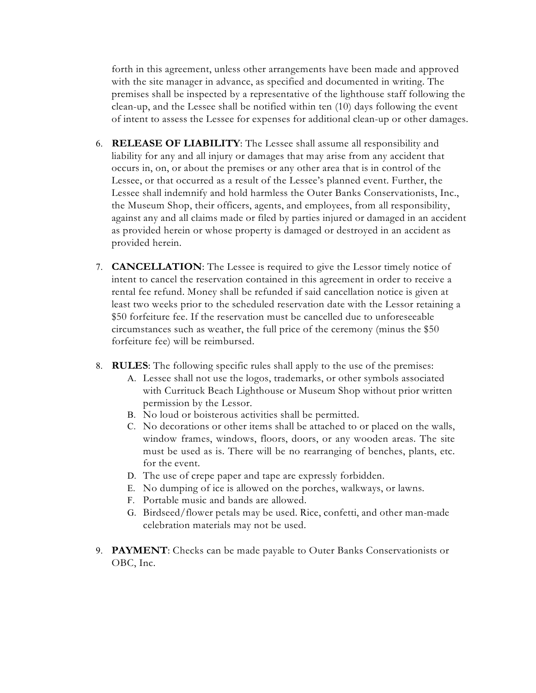forth in this agreement, unless other arrangements have been made and approved with the site manager in advance, as specified and documented in writing. The premises shall be inspected by a representative of the lighthouse staff following the clean-up, and the Lessee shall be notified within ten (10) days following the event of intent to assess the Lessee for expenses for additional clean-up or other damages.

- 6. **RELEASE OF LIABILITY**: The Lessee shall assume all responsibility and liability for any and all injury or damages that may arise from any accident that occurs in, on, or about the premises or any other area that is in control of the Lessee, or that occurred as a result of the Lessee's planned event. Further, the Lessee shall indemnify and hold harmless the Outer Banks Conservationists, Inc., the Museum Shop, their officers, agents, and employees, from all responsibility, against any and all claims made or filed by parties injured or damaged in an accident as provided herein or whose property is damaged or destroyed in an accident as provided herein.
- 7. **CANCELLATION**: The Lessee is required to give the Lessor timely notice of intent to cancel the reservation contained in this agreement in order to receive a rental fee refund. Money shall be refunded if said cancellation notice is given at least two weeks prior to the scheduled reservation date with the Lessor retaining a \$50 forfeiture fee. If the reservation must be cancelled due to unforeseeable circumstances such as weather, the full price of the ceremony (minus the \$50 forfeiture fee) will be reimbursed.
- 8. **RULES**: The following specific rules shall apply to the use of the premises:
	- A. Lessee shall not use the logos, trademarks, or other symbols associated with Currituck Beach Lighthouse or Museum Shop without prior written permission by the Lessor.
	- B. No loud or boisterous activities shall be permitted.
	- C. No decorations or other items shall be attached to or placed on the walls, window frames, windows, floors, doors, or any wooden areas. The site must be used as is. There will be no rearranging of benches, plants, etc. for the event.
	- D. The use of crepe paper and tape are expressly forbidden.
	- E. No dumping of ice is allowed on the porches, walkways, or lawns.
	- F. Portable music and bands are allowed.
	- G. Birdseed/flower petals may be used. Rice, confetti, and other man-made celebration materials may not be used.
- 9. **PAYMENT**: Checks can be made payable to Outer Banks Conservationists or OBC, Inc.